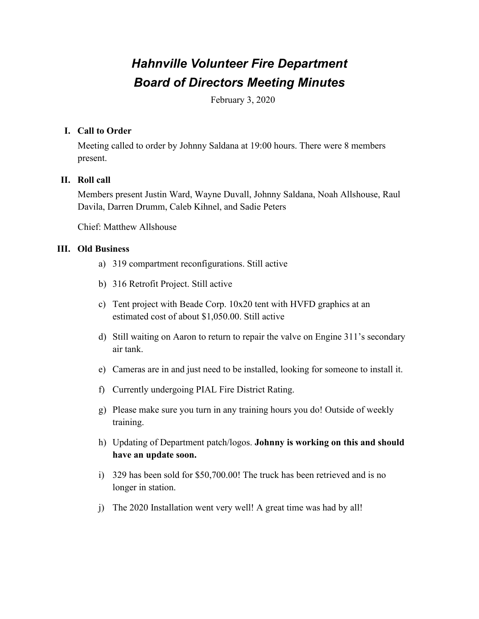# *Hahnville Volunteer Fire Department Board of Directors Meeting Minutes*

February 3, 2020

## **I. Call to Order**

Meeting called to order by Johnny Saldana at 19:00 hours. There were 8 members present.

## **II. Roll call**

Members present Justin Ward, Wayne Duvall, Johnny Saldana, Noah Allshouse, Raul Davila, Darren Drumm, Caleb Kihnel, and Sadie Peters

Chief: Matthew Allshouse

### **III. Old Business**

- a) 319 compartment reconfigurations. Still active
- b) 316 Retrofit Project. Still active
- c) Tent project with Beade Corp. 10x20 tent with HVFD graphics at an estimated cost of about \$1,050.00. Still active
- d) Still waiting on Aaron to return to repair the valve on Engine 311's secondary air tank.
- e) Cameras are in and just need to be installed, looking for someone to install it.
- f) Currently undergoing PIAL Fire District Rating.
- g) Please make sure you turn in any training hours you do! Outside of weekly training.
- h) Updating of Department patch/logos. **Johnny is working on this and should have an update soon.**
- i) 329 has been sold for \$50,700.00! The truck has been retrieved and is no longer in station.
- j) The 2020 Installation went very well! A great time was had by all!